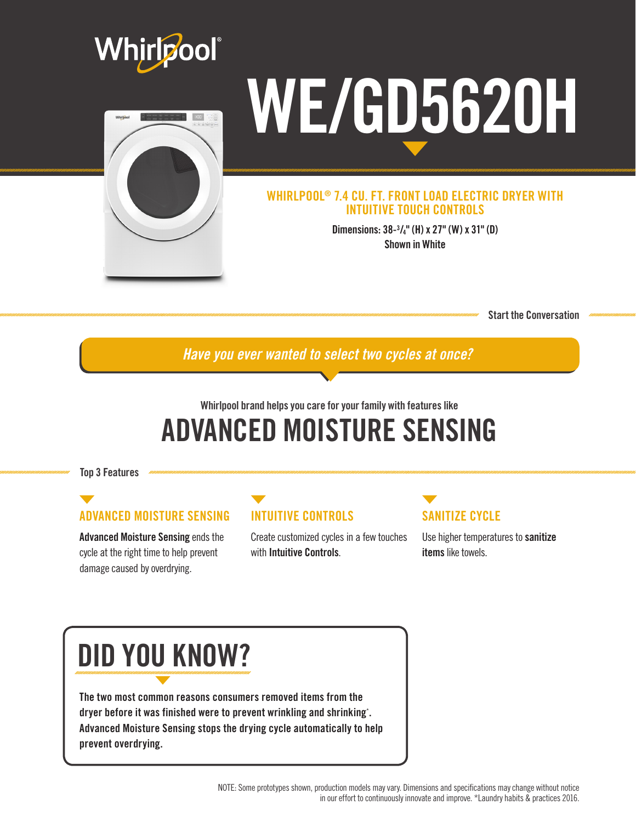

Start the Conversation

*Have you ever wanted to select two cycles at once?*

## Whirlpool brand helps you care for your family with features like ADVANCED MOISTURE SENSING

Top 3 Features

## ADVANCED MOISTURE SENSING

Advanced Moisture Sensing ends the cycle at the right time to help prevent damage caused by overdrying.

### INTUITIVE CONTROLS

Create customized cycles in a few touches with Intuitive Controls.

## SANITIZE CYCLE

Use higher temperatures to sanitize items like towels.

# DID YOU KNOW?

The two most common reasons consumers removed items from the dryer before it was finished were to prevent wrinkling and shrinking\* . Advanced Moisture Sensing stops the drying cycle automatically to help prevent overdrying.